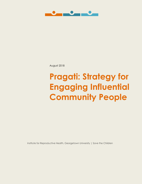

August 2018

# **Pragati: Strategy for Engaging Influential Community People**

Institute for Reproductive Health, Georgetown University | Save the Children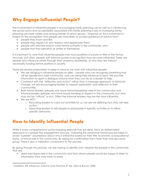## **Why Engage Influential People?**

The involvement of influential people in encouraging family planning use as well as in influencing the social norms and acceptability associated with family planning is key to increasing family planning use more widely and among harder to reach groups. Emphasis on this involvement is based on the recognition that people are more likely to accept guidance or advice from\* :

- people they know and like
- people they respect or who respect and appreciate them
- people with informal and/or more formal authority in the community, and
- people that they perceive as similar to themselves

It is important to note that influential people may have positions of power or titles in the formal structure, but often, people with informal power or recognition may be more influential. These are people who influence others through their charisma, leadership, or who they are without necessarily holding formal positions in society.

There are several parameters to keep in mind as we work with influential people:

- We are bringing in influential people as allies people who can recognize something that will be beneficial in their community, and can bring their influence to bear. We provide information to open a dialogue around what they can do as a leader to help.
- Consistent with the "reflection and action" rather than a message approach to behavior change, we are encouraging leaders to support exploration and reflection in their communities.
- Both formal leaders (people who have formal leadership roles in the community) and informal leaders (people who have social standing or respect in the community, but who may not be "official" or rich. Often the informal leaders may be the most influential.
- We are NOT:

 $\overline{a}$ 

- o Recruiting leaders to carry out activities for us, nor are we defining how they will take action.
- o Expecting leaders to tell people to participate in specific activities or to follow specific behaviors

#### **How to Identify Influential People**

While a more comprehensive social mapping exercise may be ideal, this is an abbreviated approach to catalyze the engagement process. Following this somewhat formal process helps to avoid "outsider" assumptions about who is influential based on their title, economic or educational status, or formal role in the community. By asking for confirmation from more than one discussion group, there is also a validation component to the process.

By going through this process, we are hoping to identify and validate the people in the community that are:

 Liked and respected in the community and from whom people would be happy to listen to information they may have to share

<sup>\*</sup> Cialdiani, RB. *Influence: Science and Practice.*4th ed. Allyn & Bacon; 2000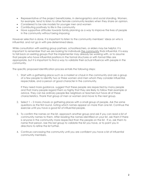- Representative of the project beneficiaries, in demographics and social standing. Women, for example, tend to listen to other female community leaders when they share an opinion.
- Considered to be role models for younger men and women
- Contributing positively to life in the community
- Have supportive attitudes towards family planning as a way to improve the lives of people in the community without being imposing

However selection is done, it is important to listen to the community members' ideas on who is influential, and not go in with pre-determined ideas.

While consultation with existing group partners, schoolteachers, or elders may be helpful, it is important to remember that we are looking for individuals the community finds influential. It is easy to fall back on existing groups that the implementer may already be working with, or to assume that people who have influential positions in the formal structures or with formal titles are appropriate, but it is important to find a way to validate their actual influence with people in the community.

The specific proposed identification process entails the following steps:

1. Start with a gathering place such as a market or *chauk* in the community and ask a group of a few people to identify two or three women and men whom they consider influential, respectable, and a person of good character in the community.

If they need more guidance, suggest that these people are respected by many people and that many people regard them so highly that they are likely to follow their example or advice. They can be ordinary people like neighbors or teachers but have all of these characteristics. Thank that group of men or women and move to the next group.

- 2. Select 1 2 more *chauks* or gathering places with a small group of people. Ask the same questions as the first round, noting which names appear on more than one list. Continue the exercise until you have a good list of influential people.
- 3. To confirm the names on the list, approach another group and ask if you can read a list of community names to them. After reading the names identified on your list, ask them if there is anyone in the community more respected than the people on the list. If so, ask them to name that person. Use this last group to validate the list you have, or to point you in directions to refine the list further.
- 4. Continue canvassing the community until you are confident you have a list of influential community members.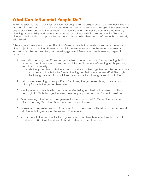#### **What Can Influential People Do?**

While the specific role or activities for influential people will be unique based on how their influence manifests in the community, it is important to remember that we are encouraging these people to purposefully think about how they exert their influence and how they can enhance both family planning acceptability and use and improve reproductive health in their community. This is a different role than that of a promoter because it draws on leadership and influence that is already established.

Following are some ideas or possibilities for influential people to consider based on experience in other projects and countries. These are certainly not exclusive, nor are they even necessarily required roles. Remember, the goal is exerting general influence, not implementing a specific action plan.

- 1. Work with the program officers and promoters to understand how family planning, fertility awareness, health services access, and social norms issues are influencing family planning use in their community.
	- a. Gather promoters and other community stakeholders together and discuss how they can best contribute to the family planning and fertility awareness effort. This might be through leadership or opinion-support more than through specific activities.
- 2. Help convene existing or new platforms for playing the games although they may not actually facilitate the games themselves.
- 3. Identify or reach people who are not otherwise being reached by the project and how they might facilitate linkages between new people, promoters, and/or health services.
- 4. Provide recognition and encouragement for the work of the FCHVs and the promoters, as this can be a significant motivator for community volunteers.
- 5. Intervene as requested in discussions or tension at the household level as it may come up in relation to shifting reproductive expectations or norms.
- 6. Advocate with the community, local government, and health services to enhance both quality and utilization of services. Assist with referrals to health services.